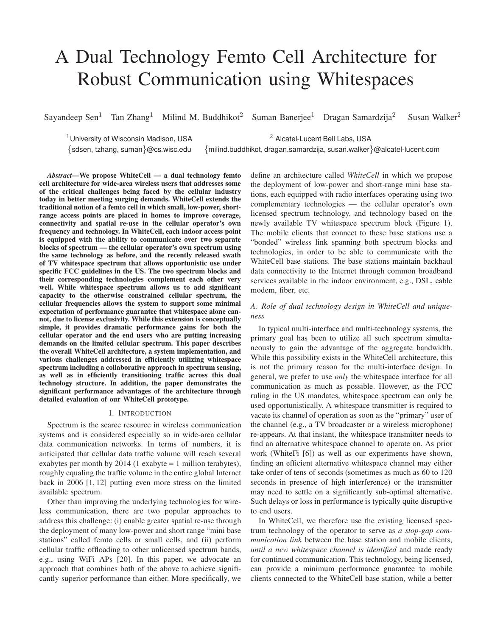# A Dual Technology Femto Cell Architecture for Robust Communication using Whitespaces

Sayandeep Sen<sup>1</sup> Tan Zhang<sup>1</sup> Milind M. Buddhikot<sup>2</sup> Suman Banerjee<sup>1</sup> Dragan Samardzija<sup>2</sup> Susan Walker<sup>2</sup>

 $1$ University of Wisconsin Madison, USA 2 Alcatel-Lucent Bell Labs, USA

{sdsen, tzhang, suman}@cs.wisc.edu {milind.buddhikot, dragan.samardzija, susan.walker}@alcatel-lucent.com

*Abstract***—We propose WhiteCell — a dual technology femto cell architecture for wide-area wireless users that addresses some of the critical challenges being faced by the cellular industry today in better meeting surging demands. WhiteCell extends the traditional notion of a femto cell in which small, low-power, shortrange access points are placed in homes to improve coverage, connectivity and spatial re-use in the cellular operator's own frequency and technology. In WhiteCell, each indoor access point is equipped with the ability to communicate over two separate blocks of spectrum — the cellular operator's own spectrum using the same technology as before, and the recently released swath of TV whitespace spectrum that allows opportunistic use under specific FCC guidelines in the US. The two spectrum blocks and their corresponding technologies complement each other very well. While whitespace spectrum allows us to add significant capacity to the otherwise constrained cellular spectrum, the cellular frequencies allows the system to support some minimal expectation of performance guarantee that whitespace alone cannot, due to license exclusivity. While this extension is conceptually simple, it provides dramatic performance gains for both the cellular operator and the end users who are putting increasing demands on the limited cellular spectrum. This paper describes the overall WhiteCell architecture, a system implementation, and various challenges addressed in efficiently utilizing whitespace spectrum including a collaborative approach in spectrum sensing, as well as in efficiently transitioning traffic across this dual technology structure. In addition, the paper demonstrates the significant performance advantages of the architecture through detailed evaluation of our WhiteCell prototype.**

#### I. INTRODUCTION

Spectrum is the scarce resource in wireless communication systems and is considered especially so in wide-area cellular data communication networks. In terms of numbers, it is anticipated that cellular data traffic volume will reach several exabytes per month by  $2014$  (1 exabyte = 1 million terabytes), roughly equaling the traffic volume in the entire global Internet back in 2006 [1, 12] putting even more stress on the limited available spectrum.

Other than improving the underlying technologies for wireless communication, there are two popular approaches to address this challenge: (i) enable greater spatial re-use through the deployment of many low-power and short range "mini base stations" called femto cells or small cells, and (ii) perform cellular traffic offloading to other unlicensed spectrum bands, e.g., using WiFi APs [20]. In this paper, we advocate an approach that combines both of the above to achieve significantly superior performance than either. More specifically, we

define an architecture called *WhiteCell* in which we propose the deployment of low-power and short-range mini base stations, each equipped with radio interfaces operating using two complementary technologies — the cellular operator's own licensed spectrum technology, and technology based on the newly available TV whitespace spectrum block (Figure 1). The mobile clients that connect to these base stations use a "bonded" wireless link spanning both spectrum blocks and technologies, in order to be able to communicate with the WhiteCell base stations. The base stations maintain backhaul data connectivity to the Internet through common broadband services available in the indoor environment, e.g., DSL, cable modem, fiber, etc.

# *A. Role of dual technology design in WhiteCell and uniqueness*

In typical multi-interface and multi-technology systems, the primary goal has been to utilize all such spectrum simultaneously to gain the advantage of the aggregate bandwidth. While this possibility exists in the WhiteCell architecture, this is not the primary reason for the multi-interface design. In general, we prefer to use *only* the whitespace interface for all communication as much as possible. However, as the FCC ruling in the US mandates, whitespace spectrum can only be used opportunistically. A whitespace transmitter is required to vacate its channel of operation as soon as the "primary" user of the channel (e.g., a TV broadcaster or a wireless microphone) re-appears. At that instant, the whitespace transmitter needs to find an alternative whitespace channel to operate on. As prior work (WhiteFi [6]) as well as our experiments have shown, finding an efficient alternative whitespace channel may either take order of tens of seconds (sometimes as much as 60 to 120 seconds in presence of high interference) or the transmitter may need to settle on a significantly sub-optimal alternative. Such delays or loss in performance is typically quite disruptive to end users.

In WhiteCell, we therefore use the existing licensed spectrum technology of the operator to serve as *a stop-gap communication link* between the base station and mobile clients, *until a new whitespace channel is identified* and made ready for continued communication. This technology, being licensed, can provide a minimum performance guarantee to mobile clients connected to the WhiteCell base station, while a better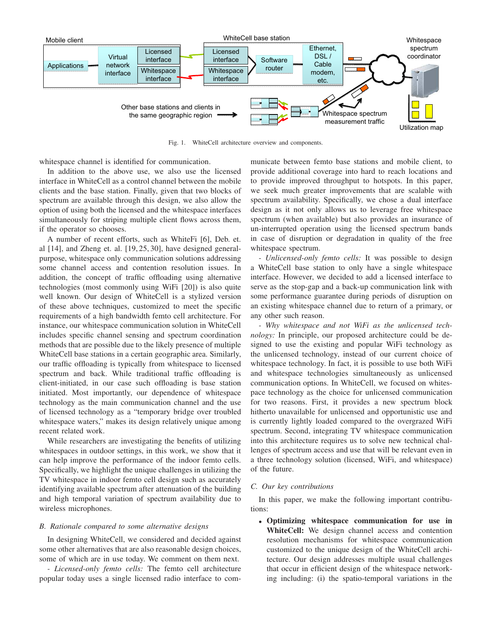

Fig. 1. WhiteCell architecture overview and components.

whitespace channel is identified for communication.

In addition to the above use, we also use the licensed interface in WhiteCell as a control channel between the mobile clients and the base station. Finally, given that two blocks of spectrum are available through this design, we also allow the option of using both the licensed and the whitespace interfaces simultaneously for striping multiple client flows across them, if the operator so chooses.

A number of recent efforts, such as WhiteFi [6], Deb. et. al [14], and Zheng et. al. [19, 25, 30], have designed generalpurpose, whitespace only communication solutions addressing some channel access and contention resolution issues. In addition, the concept of traffic offloading using alternative technologies (most commonly using WiFi [20]) is also quite well known. Our design of WhiteCell is a stylized version of these above techniques, customized to meet the specific requirements of a high bandwidth femto cell architecture. For instance, our whitespace communication solution in WhiteCell includes specific channel sensing and spectrum coordination methods that are possible due to the likely presence of multiple WhiteCell base stations in a certain geographic area. Similarly, our traffic offloading is typically from whitespace to licensed spectrum and back. While traditional traffic offloading is client-initiated, in our case such offloading is base station initiated. Most importantly, our dependence of whitespace technology as the main communication channel and the use of licensed technology as a "temporary bridge over troubled whitespace waters," makes its design relatively unique among recent related work.

While researchers are investigating the benefits of utilizing whitespaces in outdoor settings, in this work, we show that it can help improve the performance of the indoor femto cells. Specifically, we highlight the unique challenges in utilizing the TV whitespace in indoor femto cell design such as accurately identifying available spectrum after attenuation of the building and high temporal variation of spectrum availability due to wireless microphones.

# *B. Rationale compared to some alternative designs*

In designing WhiteCell, we considered and decided against some other alternatives that are also reasonable design choices, some of which are in use today. We comment on them next.

*- Licensed-only femto cells:* The femto cell architecture popular today uses a single licensed radio interface to com-

municate between femto base stations and mobile client, to provide additional coverage into hard to reach locations and to provide improved throughput to hotspots. In this paper, we seek much greater improvements that are scalable with spectrum availability. Specifically, we chose a dual interface design as it not only allows us to leverage free whitespace spectrum (when available) but also provides an insurance of un-interrupted operation using the licensed spectrum bands in case of disruption or degradation in quality of the free whitespace spectrum.

*- Unlicensed-only femto cells:* It was possible to design a WhiteCell base station to only have a single whitespace interface. However, we decided to add a licensed interface to serve as the stop-gap and a back-up communication link with some performance guarantee during periods of disruption on an existing whitespace channel due to return of a primary, or any other such reason.

*- Why whitespace and not WiFi as the unlicensed technology:* In principle, our proposed architecture could be designed to use the existing and popular WiFi technology as the unlicensed technology, instead of our current choice of whitespace technology. In fact, it is possible to use both WiFi and whitespace technologies simultaneously as unlicensed communication options. In WhiteCell, we focused on whitespace technology as the choice for unlicensed communication for two reasons. First, it provides a new spectrum block hitherto unavailable for unlicensed and opportunistic use and is currently lightly loaded compared to the overgrazed WiFi spectrum. Second, integrating TV whitespace communication into this architecture requires us to solve new technical challenges of spectrum access and use that will be relevant even in a three technology solution (licensed, WiFi, and whitespace) of the future.

## *C. Our key contributions*

In this paper, we make the following important contributions:

• **Optimizing whitespace communication for use in WhiteCell:** We design channel access and contention resolution mechanisms for whitespace communication customized to the unique design of the WhiteCell architecture. Our design addresses multiple usual challenges that occur in efficient design of the whitespace networking including: (i) the spatio-temporal variations in the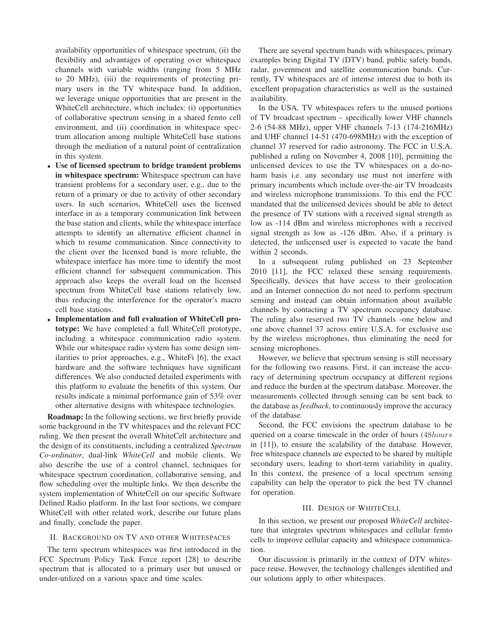availability opportunities of whitespace spectrum, (ii) the flexibility and advantages of operating over whitespace channels with variable widths (ranging from 5 MHz to 20 MHz), (iii) the requirements of protecting primary users in the TV whitespace band. In addition, we leverage unique opportunities that are present in the WhiteCell architecture, which includes: (i) opportunities of collaborative spectrum sensing in a shared femto cell environment, and (ii) coordination in whitespace spectrum allocation among multiple WhiteCell base stations through the mediation of a natural point of centralization in this system.

- **Use of licensed spectrum to bridge transient problems in whitespace spectrum:** Whitespace spectrum can have transient problems for a secondary user, e.g., due to the return of a primary or due to activity of other secondary users. In such scenarios, WhiteCell uses the licensed interface in as a temporary communication link between the base station and clients, while the whitespace interface attempts to identify an alternative efficient channel in which to resume communication. Since connectivity to the client over the licensed band is more reliable, the whitespace interface has more time to identify the most efficient channel for subsequent communication. This approach also keeps the overall load on the licensed spectrum from WhiteCell base stations relatively low, thus reducing the interference for the operator's macro cell base stations.
- **Implementation and full evaluation of WhiteCell prototype:** We have completed a full WhiteCell prototype, including a whitespace communication radio system. While our whitespace radio system has some design similarities to prior approaches, e.g., WhiteFi [6], the exact hardware and the software techniques have significant differences. We also conducted detailed experiments with this platform to evaluate the benefits of this system. Our results indicate a minimal performance gain of 53% over other alternative designs with whitespace technologies.

**Roadmap:** In the following sections, we first briefly provide some background in the TV whitespaces and the relevant FCC ruling. We then present the overall WhiteCell architecture and the design of its constituents, including a centralized *Spectrum Co-ordinator*, dual-link *WhiteCell* and mobile clients. We also describe the use of a control channel, techniques for whitespace spectrum coordination, collaborative sensing, and flow scheduling over the multiple links. We then describe the system implementation of WhiteCell on our specific Software Defined Radio platform. In the last four sections, we compare WhiteCell with other related work, describe our future plans and finally, conclude the paper.

## II. BACKGROUND ON TV AND OTHER WHITESPACES

The term spectrum whitespaces was first introduced in the FCC Spectrum Policy Task Force report [28] to describe spectrum that is allocated to a primary user but unused or under-utilized on a various space and time scales.

There are several spectrum bands with whitespaces, primary examples being Digital TV (DTV) band, public safety bands, radar, government and satellite communication bands. Currently, TV whitespaces are of intense interest due to both its excellent propagation characteristics as well as the sustained availability.

In the USA, TV whitespaces refers to the unused portions of TV broadcast spectrum – specifically lower VHF channels 2-6 (54-88 MHz), upper VHF channels 7-13 (174-216MHz) and UHF channel 14-51 (470-698MHz) with the exception of channel 37 reserved for radio astronomy. The FCC in U.S.A. published a ruling on November 4, 2008 [10], permitting the unlicensed devices to use the TV whitespaces on a do-noharm basis i.e. any secondary use must not interfere with primary incumbents which include over-the-air TV broadcasts and wireless microphone transmissions. To this end the FCC mandated that the unlicensed devices should be able to detect the presence of TV stations with a received signal strength as low as -114 dBm and wireless microphones with a received signal strength as low as -126 dBm. Also, if a primary is detected, the unlicensed user is expected to vacate the band within 2 seconds.

In a subsequent ruling published on 23 September 2010 [11], the FCC relaxed these sensing requirements. Specifically, devices that have access to their geolocation and an Internet connection do not need to perform spectrum sensing and instead can obtain information about available channels by contacting a TV spectrum occupancy database. The ruling also reserved two TV channels -one below and one above channel 37 across entire U.S.A. for exclusive use by the wireless microphones, thus eliminating the need for sensing microphones.

However, we believe that spectrum sensing is still necessary for the following two reasons. First, it can increase the accuracy of determining spectrum occupancy at different regions and reduce the burden at the spectrum database. Moreover, the measurements collected through sensing can be sent back to the database as *feedback*, to continuously improve the accuracy of the database.

Second, the FCC envisions the spectrum database to be queried on a coarse timescale in the order of hours (48hours in [11]), to ensure the scalability of the database. However, free whitespace channels are expected to be shared by multiple secondary users, leading to short-term variability in quality. In this context, the presence of a local spectrum sensing capability can help the operator to pick the best TV channel for operation.

## III. DESIGN OF WHITECELL

In this section, we present our proposed *WhiteCell* architecture that integrates spectrum whitespaces and cellular femto cells to improve cellular capacity and whitespace communication.

Our discussion is primarily in the context of DTV whitespace reuse. However, the technology challenges identified and our solutions apply to other whitespaces.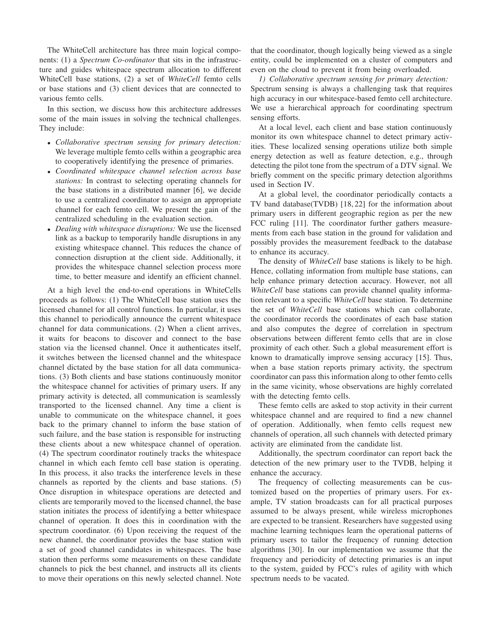The WhiteCell architecture has three main logical components: (1) a *Spectrum Co-ordinator* that sits in the infrastructure and guides whitespace spectrum allocation to different WhiteCell base stations, (2) a set of *WhiteCell* femto cells or base stations and (3) client devices that are connected to various femto cells.

In this section, we discuss how this architecture addresses some of the main issues in solving the technical challenges. They include:

- *Collaborative spectrum sensing for primary detection:* We leverage multiple femto cells within a geographic area to cooperatively identifying the presence of primaries.
- *Coordinated whitespace channel selection across base stations:* In contrast to selecting operating channels for the base stations in a distributed manner [6], we decide to use a centralized coordinator to assign an appropriate channel for each femto cell. We present the gain of the centralized scheduling in the evaluation section.
- *Dealing with whitespace disruptions:* We use the licensed link as a backup to temporarily handle disruptions in any existing whitespace channel. This reduces the chance of connection disruption at the client side. Additionally, it provides the whitespace channel selection process more time, to better measure and identify an efficient channel.

At a high level the end-to-end operations in WhiteCells proceeds as follows: (1) The WhiteCell base station uses the licensed channel for all control functions. In particular, it uses this channel to periodically announce the current whitespace channel for data communications. (2) When a client arrives, it waits for beacons to discover and connect to the base station via the licensed channel. Once it authenticates itself, it switches between the licensed channel and the whitespace channel dictated by the base station for all data communications. (3) Both clients and base stations continuously monitor the whitespace channel for activities of primary users. If any primary activity is detected, all communication is seamlessly transported to the licensed channel. Any time a client is unable to communicate on the whitespace channel, it goes back to the primary channel to inform the base station of such failure, and the base station is responsible for instructing these clients about a new whitespace channel of operation. (4) The spectrum coordinator routinely tracks the whitespace channel in which each femto cell base station is operating. In this process, it also tracks the interference levels in these channels as reported by the clients and base stations. (5) Once disruption in whitespace operations are detected and clients are temporarily moved to the licensed channel, the base station initiates the process of identifying a better whitespace channel of operation. It does this in coordination with the spectrum coordinator. (6) Upon receiving the request of the new channel, the coordinator provides the base station with a set of good channel candidates in whitespaces. The base station then performs some measurements on these candidate channels to pick the best channel, and instructs all its clients to move their operations on this newly selected channel. Note

that the coordinator, though logically being viewed as a single entity, could be implemented on a cluster of computers and even on the cloud to prevent it from being overloaded.

*1) Collaborative spectrum sensing for primary detection:* Spectrum sensing is always a challenging task that requires high accuracy in our whitespace-based femto cell architecture. We use a hierarchical approach for coordinating spectrum sensing efforts.

At a local level, each client and base station continuously monitor its own whitespace channel to detect primary activities. These localized sensing operations utilize both simple energy detection as well as feature detection, e.g., through detecting the pilot tone from the spectrum of a DTV signal. We briefly comment on the specific primary detection algorithms used in Section IV.

At a global level, the coordinator periodically contacts a TV band database(TVDB) [18, 22] for the information about primary users in different geographic region as per the new FCC ruling [11]. The coordinator further gathers measurements from each base station in the ground for validation and possibly provides the measurement feedback to the database to enhance its accuracy.

The density of *WhiteCell* base stations is likely to be high. Hence, collating information from multiple base stations, can help enhance primary detection accuracy. However, not all *WhiteCell* base stations can provide channel quality information relevant to a specific *WhiteCell* base station. To determine the set of *WhiteCell* base stations which can collaborate, the coordinator records the coordinates of each base station and also computes the degree of correlation in spectrum observations between different femto cells that are in close proximity of each other. Such a global measurement effort is known to dramatically improve sensing accuracy [15]. Thus, when a base station reports primary activity, the spectrum coordinator can pass this information along to other femto cells in the same vicinity, whose observations are highly correlated with the detecting femto cells.

These femto cells are asked to stop activity in their current whitespace channel and are required to find a new channel of operation. Additionally, when femto cells request new channels of operation, all such channels with detected primary activity are eliminated from the candidate list.

Additionally, the spectrum coordinator can report back the detection of the new primary user to the TVDB, helping it enhance the accuracy.

The frequency of collecting measurements can be customized based on the properties of primary users. For example, TV station broadcasts can for all practical purposes assumed to be always present, while wireless microphones are expected to be transient. Researchers have suggested using machine learning techniques learn the operational patterns of primary users to tailor the frequency of running detection algorithms [30]. In our implementation we assume that the frequency and periodicity of detecting primaries is an input to the system, guided by FCC's rules of agility with which spectrum needs to be vacated.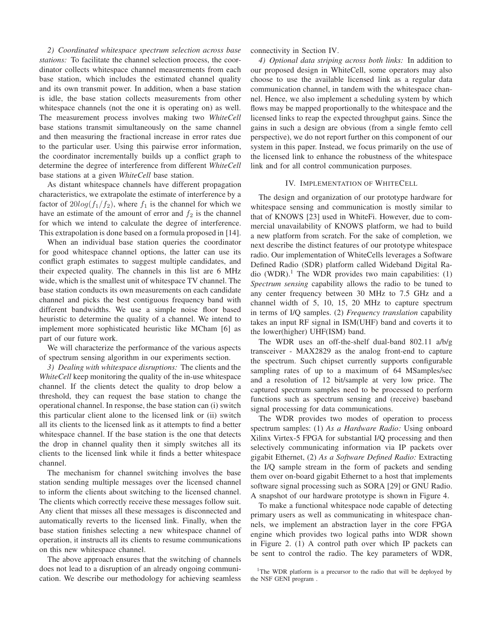*2) Coordinated whitespace spectrum selection across base stations:* To facilitate the channel selection process, the coordinator collects whitespace channel measurements from each base station, which includes the estimated channel quality and its own transmit power. In addition, when a base station is idle, the base station collects measurements from other whitespace channels (not the one it is operating on) as well. The measurement process involves making two *WhiteCell* base stations transmit simultaneously on the same channel and then measuring the fractional increase in error rates due to the particular user. Using this pairwise error information, the coordinator incrementally builds up a conflict graph to determine the degree of interference from different *WhiteCell* base stations at a given *WhiteCell* base station.

As distant whitespace channels have different propagation characteristics, we extrapolate the estimate of interference by a factor of  $20log(f_1/f_2)$ , where  $f_1$  is the channel for which we have an estimate of the amount of error and  $f_2$  is the channel for which we intend to calculate the degree of interference. This extrapolation is done based on a formula proposed in [14].

When an individual base station queries the coordinator for good whitespace channel options, the latter can use its conflict graph estimates to suggest multiple candidates, and their expected quality. The channels in this list are 6 MHz wide, which is the smallest unit of whitespace TV channel. The base station conducts its own measurements on each candidate channel and picks the best contiguous frequency band with different bandwidths. We use a simple noise floor based heuristic to determine the quality of a channel. We intend to implement more sophisticated heuristic like MCham [6] as part of our future work.

We will characterize the performance of the various aspects of spectrum sensing algorithm in our experiments section.

*3) Dealing with whitespace disruptions:* The clients and the *WhiteCell* keep monitoring the quality of the in-use whitespace channel. If the clients detect the quality to drop below a threshold, they can request the base station to change the operational channel. In response, the base station can (i) switch this particular client alone to the licensed link or (ii) switch all its clients to the licensed link as it attempts to find a better whitespace channel. If the base station is the one that detects the drop in channel quality then it simply switches all its clients to the licensed link while it finds a better whitespace channel.

The mechanism for channel switching involves the base station sending multiple messages over the licensed channel to inform the clients about switching to the licensed channel. The clients which correctly receive these messages follow suit. Any client that misses all these messages is disconnected and automatically reverts to the licensed link. Finally, when the base station finishes selecting a new whitespace channel of operation, it instructs all its clients to resume communications on this new whitespace channel.

The above approach ensures that the switching of channels does not lead to a disruption of an already ongoing communication. We describe our methodology for achieving seamless connectivity in Section IV.

*4) Optional data striping across both links:* In addition to our proposed design in WhiteCell, some operators may also choose to use the available licensed link as a regular data communication channel, in tandem with the whitespace channel. Hence, we also implement a scheduling system by which flows may be mapped proportionally to the whitespace and the licensed links to reap the expected throughput gains. Since the gains in such a design are obvious (from a single femto cell perspective), we do not report further on this component of our system in this paper. Instead, we focus primarily on the use of the licensed link to enhance the robustness of the whitespace link and for all control communication purposes.

#### IV. IMPLEMENTATION OF WHITECELL

The design and organization of our prototype hardware for whitespace sensing and communication is mostly similar to that of KNOWS [23] used in WhiteFi. However, due to commercial unavailability of KNOWS platform, we had to build a new platform from scratch. For the sake of completion, we next describe the distinct features of our prototype whitespace radio. Our implementation of WhiteCells leverages a Software Defined Radio (SDR) platform called Wideband Digital Radio (WDR).<sup>1</sup> The WDR provides two main capabilities:  $(1)$ *Spectrum sensing* capability allows the radio to be tuned to any center frequency between 30 MHz to 7.5 GHz and a channel width of 5, 10, 15, 20 MHz to capture spectrum in terms of I/Q samples. (2) *Frequency translation* capability takes an input RF signal in ISM(UHF) band and coverts it to the lower(higher) UHF(ISM) band.

The WDR uses an off-the-shelf dual-band 802.11 a/b/g transceiver - MAX2829 as the analog front-end to capture the spectrum. Such chipset currently supports configurable sampling rates of up to a maximum of 64 MSamples/sec and a resolution of 12 bit/sample at very low price. The captured spectrum samples need to be processed to perform functions such as spectrum sensing and (receive) baseband signal processing for data communications.

The WDR provides two modes of operation to process spectrum samples: (1) *As a Hardware Radio:* Using onboard Xilinx Virtex-5 FPGA for substantial I/Q processing and then selectively communicating information via IP packets over gigabit Ethernet, (2) *As a Software Defined Radio:* Extracting the I/Q sample stream in the form of packets and sending them over on-board gigabit Ethernet to a host that implements software signal processing such as SORA [29] or GNU Radio. A snapshot of our hardware prototype is shown in Figure 4.

To make a functional whitespace node capable of detecting primary users as well as communicating in whitespace channels, we implement an abstraction layer in the core FPGA engine which provides two logical paths into WDR shown in Figure 2. (1) A control path over which IP packets can be sent to control the radio. The key parameters of WDR,

<sup>&</sup>lt;sup>1</sup>The WDR platform is a precursor to the radio that will be deployed by the NSF GENI program .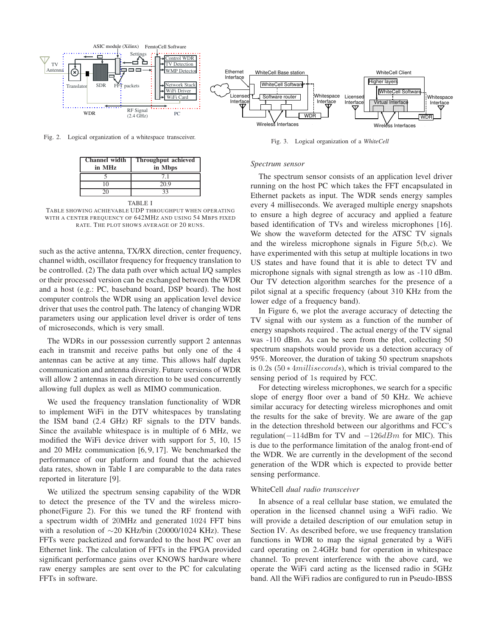

Fig. 2. Logical organization of a whitespace transceiver.

| Channel width<br>in MHz | Throughput achieved<br>in Mbps |  |
|-------------------------|--------------------------------|--|
|                         |                                |  |
|                         | 20.9                           |  |
|                         |                                |  |
|                         |                                |  |

TABLE I TABLE SHOWING ACHIEVABLE UDP THROUGHPUT WHEN OPERATING WITH A CENTER FREQUENCY OF 642MHZ AND USING 54 MBPS FIXED RATE. THE PLOT SHOWS AVERAGE OF 20 RUNS.

such as the active antenna, TX/RX direction, center frequency, channel width, oscillator frequency for frequency translation to be controlled. (2) The data path over which actual I/Q samples or their processed version can be exchanged between the WDR and a host (e.g.: PC, baseband board, DSP board). The host computer controls the WDR using an application level device driver that uses the control path. The latency of changing WDR parameters using our application level driver is order of tens of microseconds, which is very small.

The WDRs in our possession currently support 2 antennas each in transmit and receive paths but only one of the 4 antennas can be active at any time. This allows half duplex communication and antenna diversity. Future versions of WDR will allow 2 antennas in each direction to be used concurrently allowing full duplex as well as MIMO communication.

We used the frequency translation functionality of WDR to implement WiFi in the DTV whitespaces by translating the ISM band (2.4 GHz) RF signals to the DTV bands. Since the available whitespace is in multiple of 6 MHz, we modified the WiFi device driver with support for 5, 10, 15 and 20 MHz communication [6, 9, 17]. We benchmarked the performance of our platform and found that the achieved data rates, shown in Table I are comparable to the data rates reported in literature [9].

We utilized the spectrum sensing capability of the WDR to detect the presence of the TV and the wireless microphone(Figure 2). For this we tuned the RF frontend with a spectrum width of 20MHz and generated 1024 FFT bins with a resolution of ∼20 KHz/bin (20000/1024 KHz). These FFTs were packetized and forwarded to the host PC over an Ethernet link. The calculation of FFTs in the FPGA provided significant performance gains over KNOWS hardware where raw energy samples are sent over to the PC for calculating FFTs in software.

Fig. 3. Logical organization of a *WhiteCell*

#### *Spectrum sensor*

The spectrum sensor consists of an application level driver running on the host PC which takes the FFT encapsulated in Ethernet packets as input. The WDR sends energy samples every 4 milliseconds. We averaged multiple energy snapshots to ensure a high degree of accuracy and applied a feature based identification of TVs and wireless microphones [16]. We show the waveform detected for the ATSC TV signals and the wireless microphone signals in Figure 5(b,c). We have experimented with this setup at multiple locations in two US states and have found that it is able to detect TV and microphone signals with signal strength as low as -110 dBm. Our TV detection algorithm searches for the presence of a pilot signal at a specific frequency (about 310 KHz from the lower edge of a frequency band).

In Figure 6, we plot the average accuracy of detecting the TV signal with our system as a function of the number of energy snapshots required . The actual energy of the TV signal was -110 dBm. As can be seen from the plot, collecting 50 spectrum snapshots would provide us a detection accuracy of 95%. Moreover, the duration of taking 50 spectrum snapshots is 0.2s (50 ∗ 4milliseconds), which is trivial compared to the sensing period of 1s required by FCC.

For detecting wireless microphones, we search for a specific slope of energy floor over a band of 50 KHz. We achieve similar accuracy for detecting wireless microphones and omit the results for the sake of brevity. We are aware of the gap in the detection threshold between our algorithms and FCC's regulation( $-114$ dBm for TV and  $-126$ dBm for MIC). This is due to the performance limitation of the analog front-end of the WDR. We are currently in the development of the second generation of the WDR which is expected to provide better sensing performance.

## WhiteCell *dual radio transceiver*

In absence of a real cellular base station, we emulated the operation in the licensed channel using a WiFi radio. We will provide a detailed description of our emulation setup in Section IV. As described before, we use frequency translation functions in WDR to map the signal generated by a WiFi card operating on 2.4GHz band for operation in whitespace channel. To prevent interference with the above card, we operate the WiFi card acting as the licensed radio in 5GHz band. All the WiFi radios are configured to run in Pseudo-IBSS

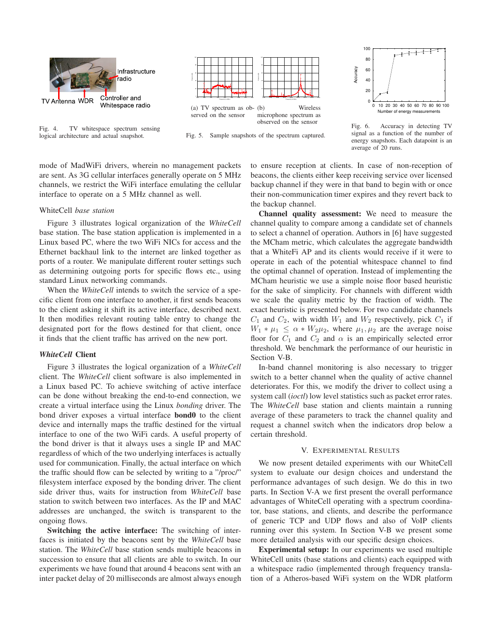

Fig. 4. TV whitespace spectrum sensing logical architecture and actual snapshot.

Fig. 5. Sample snapshots of the spectrum captured.



Fig. 6. Accuracy in detecting TV signal as a function of the number of energy snapshots. Each datapoint is an average of 20 runs.

mode of MadWiFi drivers, wherein no management packets are sent. As 3G cellular interfaces generally operate on 5 MHz channels, we restrict the WiFi interface emulating the cellular interface to operate on a 5 MHz channel as well.

# WhiteCell *base station*

Figure 3 illustrates logical organization of the *WhiteCell* base station. The base station application is implemented in a Linux based PC, where the two WiFi NICs for access and the Ethernet backhaul link to the internet are linked together as ports of a router. We manipulate different router settings such as determining outgoing ports for specific flows etc., using standard Linux networking commands.

When the *WhiteCell* intends to switch the service of a specific client from one interface to another, it first sends beacons to the client asking it shift its active interface, described next. It then modifies relevant routing table entry to change the designated port for the flows destined for that client, once it finds that the client traffic has arrived on the new port.

### *WhiteCell* **Client**

Figure 3 illustrates the logical organization of a *WhiteCell* client. The *WhiteCell* client software is also implemented in a Linux based PC. To achieve switching of active interface can be done without breaking the end-to-end connection, we create a virtual interface using the Linux *bonding* driver. The bond driver exposes a virtual interface **bond0** to the client device and internally maps the traffic destined for the virtual interface to one of the two WiFi cards. A useful property of the bond driver is that it always uses a single IP and MAC regardless of which of the two underlying interfaces is actually used for communication. Finally, the actual interface on which the traffic should flow can be selected by writing to a "/proc/" filesystem interface exposed by the bonding driver. The client side driver thus, waits for instruction from *WhiteCell* base station to switch between two interfaces. As the IP and MAC addresses are unchanged, the switch is transparent to the ongoing flows.

**Switching the active interface:** The switching of interfaces is initiated by the beacons sent by the *WhiteCell* base station. The *WhiteCell* base station sends multiple beacons in succession to ensure that all clients are able to switch. In our experiments we have found that around 4 beacons sent with an inter packet delay of 20 milliseconds are almost always enough

to ensure reception at clients. In case of non-reception of beacons, the clients either keep receiving service over licensed backup channel if they were in that band to begin with or once their non-communication timer expires and they revert back to the backup channel.

**Channel quality assessment:** We need to measure the channel quality to compare among a candidate set of channels to select a channel of operation. Authors in [6] have suggested the MCham metric, which calculates the aggregate bandwidth that a WhiteFi AP and its clients would receive if it were to operate in each of the potential whitespace channel to find the optimal channel of operation. Instead of implementing the MCham heuristic we use a simple noise floor based heuristic for the sake of simplicity. For channels with different width we scale the quality metric by the fraction of width. The exact heuristic is presented below. For two candidate channels  $C_1$  and  $C_2$ , with width  $W_1$  and  $W_2$  respectively, pick  $C_1$  if  $W_1 * \mu_1 \leq \alpha * W_2 \mu_2$ , where  $\mu_1, \mu_2$  are the average noise floor for  $C_1$  and  $C_2$  and  $\alpha$  is an empirically selected error threshold. We benchmark the performance of our heuristic in Section V-B.

In-band channel monitoring is also necessary to trigger switch to a better channel when the quality of active channel deteriorates. For this, we modify the driver to collect using a system call (*ioctl*) low level statistics such as packet error rates. The *WhiteCell* base station and clients maintain a running average of these parameters to track the channel quality and request a channel switch when the indicators drop below a certain threshold.

## V. EXPERIMENTAL RESULTS

We now present detailed experiments with our WhiteCell system to evaluate our design choices and understand the performance advantages of such design. We do this in two parts. In Section V-A we first present the overall performance advantages of WhiteCell operating with a spectrum coordinator, base stations, and clients, and describe the performance of generic TCP and UDP flows and also of VoIP clients running over this system. In Section V-B we present some more detailed analysis with our specific design choices.

**Experimental setup:** In our experiments we used multiple WhiteCell units (base stations and clients) each equipped with a whitespace radio (implemented through frequency translation of a Atheros-based WiFi system on the WDR platform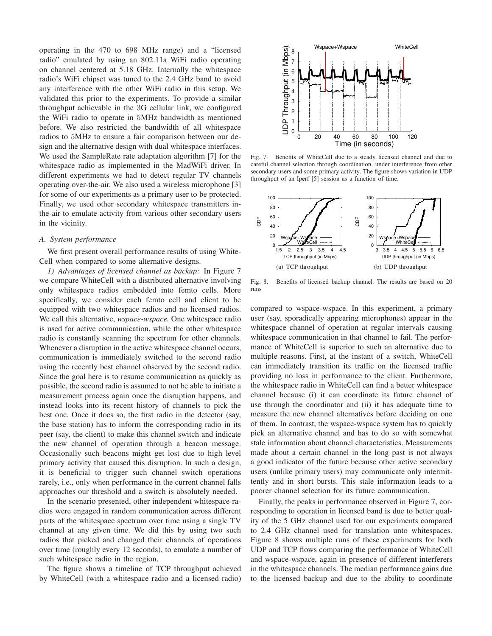operating in the 470 to 698 MHz range) and a "licensed radio" emulated by using an 802.11a WiFi radio operating on channel centered at 5.18 GHz. Internally the whitespace radio's WiFi chipset was tuned to the 2.4 GHz band to avoid any interference with the other WiFi radio in this setup. We validated this prior to the experiments. To provide a similar throughput achievable in the 3G cellular link, we configured the WiFi radio to operate in 5MHz bandwidth as mentioned before. We also restricted the bandwidth of all whitespace radios to 5MHz to ensure a fair comparison between our design and the alternative design with dual whitespace interfaces. We used the SampleRate rate adaptation algorithm [7] for the whitespace radio as implemented in the MadWiFi driver. In different experiments we had to detect regular TV channels operating over-the-air. We also used a wireless microphone [3] for some of our experiments as a primary user to be protected. Finally, we used other secondary whitespace transmitters inthe-air to emulate activity from various other secondary users in the vicinity.

#### *A. System performance*

We first present overall performance results of using White-Cell when compared to some alternative designs.

*1) Advantages of licensed channel as backup:* In Figure 7 we compare WhiteCell with a distributed alternative involving only whitespace radios embedded into femto cells. More specifically, we consider each femto cell and client to be equipped with two whitespace radios and no licensed radios. We call this alternative, *wspace-wspace.* One whitespace radio is used for active communication, while the other whitespace radio is constantly scanning the spectrum for other channels. Whenever a disruption in the active whitespace channel occurs, communication is immediately switched to the second radio using the recently best channel observed by the second radio. Since the goal here is to resume communication as quickly as possible, the second radio is assumed to not be able to initiate a measurement process again once the disruption happens, and instead looks into its recent history of channels to pick the best one. Once it does so, the first radio in the detector (say, the base station) has to inform the corresponding radio in its peer (say, the client) to make this channel switch and indicate the new channel of operation through a beacon message. Occasionally such beacons might get lost due to high level primary activity that caused this disruption. In such a design, it is beneficial to trigger such channel switch operations rarely, i.e., only when performance in the current channel falls approaches our threshold and a switch is absolutely needed.

In the scenario presented, other independent whitespace radios were engaged in random communication across different parts of the whitespace spectrum over time using a single TV channel at any given time. We did this by using two such radios that picked and changed their channels of operations over time (roughly every 12 seconds), to emulate a number of such whitespace radio in the region.

The figure shows a timeline of TCP throughput achieved by WhiteCell (with a whitespace radio and a licensed radio)



Fig. 7. Benefits of WhiteCell due to a steady licensed channel and due to careful channel selection through coordination, under interference from other secondary users and some primary activity. The figure shows variation in UDP throughput of an Iperf [5] session as a function of time.



Fig. 8. Benefits of licensed backup channel. The results are based on 20 runs

compared to wspace-wspace. In this experiment, a primary user (say, sporadically appearing microphones) appear in the whitespace channel of operation at regular intervals causing whitespace communication in that channel to fail. The performance of WhiteCell is superior to such an alternative due to multiple reasons. First, at the instant of a switch, WhiteCell can immediately transition its traffic on the licensed traffic providing no loss in performance to the client. Furthermore, the whitespace radio in WhiteCell can find a better whitespace channel because (i) it can coordinate its future channel of use through the coordinator and (ii) it has adequate time to measure the new channel alternatives before deciding on one of them. In contrast, the wspace-wspace system has to quickly pick an alternative channel and has to do so with somewhat stale information about channel characteristics. Measurements made about a certain channel in the long past is not always a good indicator of the future because other active secondary users (unlike primary users) may communicate only intermittently and in short bursts. This stale information leads to a poorer channel selection for its future communication.

Finally, the peaks in performance observed in Figure 7, corresponding to operation in licensed band is due to better quality of the 5 GHz channel used for our experiments compared to 2.4 GHz channel used for translation unto whitespaces. Figure 8 shows multiple runs of these experiments for both UDP and TCP flows comparing the performance of WhiteCell and wspace-wspace, again in presence of different interferers in the whitespace channels. The median performance gains due to the licensed backup and due to the ability to coordinate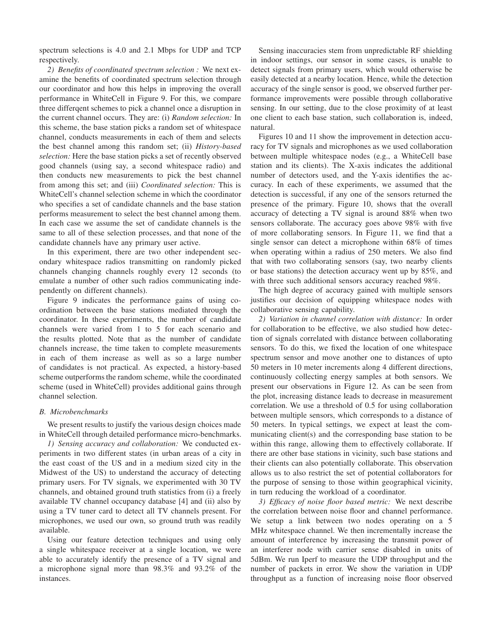spectrum selections is 4.0 and 2.1 Mbps for UDP and TCP respectively.

*2) Benefits of coordinated spectrum selection :* We next examine the benefits of coordinated spectrum selection through our coordinator and how this helps in improving the overall performance in WhiteCell in Figure 9. For this, we compare three differqent schemes to pick a channel once a disruption in the current channel occurs. They are: (i) *Random selection:* In this scheme, the base station picks a random set of whitespace channel, conducts measurements in each of them and selects the best channel among this random set; (ii) *History-based selection:* Here the base station picks a set of recently observed good channels (using say, a second whitespace radio) and then conducts new measurements to pick the best channel from among this set; and (iii) *Coordinated selection:* This is WhiteCell's channel selection scheme in which the coordinator who specifies a set of candidate channels and the base station performs measurement to select the best channel among them. In each case we assume the set of candidate channels is the same to all of these selection processes, and that none of the candidate channels have any primary user active.

In this experiment, there are two other independent secondary whitespace radios transmitting on randomly picked channels changing channels roughly every 12 seconds (to emulate a number of other such radios communicating independently on different channels).

Figure 9 indicates the performance gains of using coordination between the base stations mediated through the coordinator. In these experiments, the number of candidate channels were varied from 1 to 5 for each scenario and the results plotted. Note that as the number of candidate channels increase, the time taken to complete measurements in each of them increase as well as so a large number of candidates is not practical. As expected, a history-based scheme outperforms the random scheme, while the coordinated scheme (used in WhiteCell) provides additional gains through channel selection.

## *B. Microbenchmarks*

We present results to justify the various design choices made in WhiteCell through detailed performance micro-benchmarks.

*1) Sensing accuracy and collaboration:* We conducted experiments in two different states (in urban areas of a city in the east coast of the US and in a medium sized city in the Midwest of the US) to understand the accuracy of detecting primary users. For TV signals, we experimented with 30 TV channels, and obtained ground truth statistics from (i) a freely available TV channel occupancy database [4] and (ii) also by using a TV tuner card to detect all TV channels present. For microphones, we used our own, so ground truth was readily available.

Using our feature detection techniques and using only a single whitespace receiver at a single location, we were able to accurately identify the presence of a TV signal and a microphone signal more than 98.3% and 93.2% of the instances.

Sensing inaccuracies stem from unpredictable RF shielding in indoor settings, our sensor in some cases, is unable to detect signals from primary users, which would otherwise be easily detected at a nearby location. Hence, while the detection accuracy of the single sensor is good, we observed further performance improvements were possible through collaborative sensing. In our setting, due to the close proximity of at least one client to each base station, such collaboration is, indeed, natural.

Figures 10 and 11 show the improvement in detection accuracy for TV signals and microphones as we used collaboration between multiple whitespace nodes (e.g., a WhiteCell base station and its clients). The X-axis indicates the additional number of detectors used, and the Y-axis identifies the accuracy. In each of these experiments, we assumed that the detection is successful, if any one of the sensors returned the presence of the primary. Figure 10, shows that the overall accuracy of detecting a TV signal is around 88% when two sensors collaborate. The accuracy goes above 98% with five of more collaborating sensors. In Figure 11, we find that a single sensor can detect a microphone within 68% of times when operating within a radius of 250 meters. We also find that with two collaborating sensors (say, two nearby clients or base stations) the detection accuracy went up by 85%, and with three such additional sensors accuracy reached 98%.

The high degree of accuracy gained with multiple sensors justifies our decision of equipping whitespace nodes with collaborative sensing capability.

*2) Variation in channel correlation with distance:* In order for collaboration to be effective, we also studied how detection of signals correlated with distance between collaborating sensors. To do this, we fixed the location of one whitespace spectrum sensor and move another one to distances of upto 50 meters in 10 meter increments along 4 different directions, continuously collecting energy samples at both sensors. We present our observations in Figure 12. As can be seen from the plot, increasing distance leads to decrease in measurement correlation. We use a threshold of 0.5 for using collaboration between multiple sensors, which corresponds to a distance of 50 meters. In typical settings, we expect at least the communicating client(s) and the corresponding base station to be within this range, allowing them to effectively collaborate. If there are other base stations in vicinity, such base stations and their clients can also potentially collaborate. This observation allows us to also restrict the set of potential collaborators for the purpose of sensing to those within geographical vicinity, in turn reducing the workload of a coordinator.

*3) Efficacy of noise floor based metric:* We next describe the correlation between noise floor and channel performance. We setup a link between two nodes operating on a 5 MHz whitespace channel. We then incrementally increase the amount of interference by increasing the transmit power of an interferer node with carrier sense disabled in units of 5dBm. We run Iperf to measure the UDP throughput and the number of packets in error. We show the variation in UDP throughput as a function of increasing noise floor observed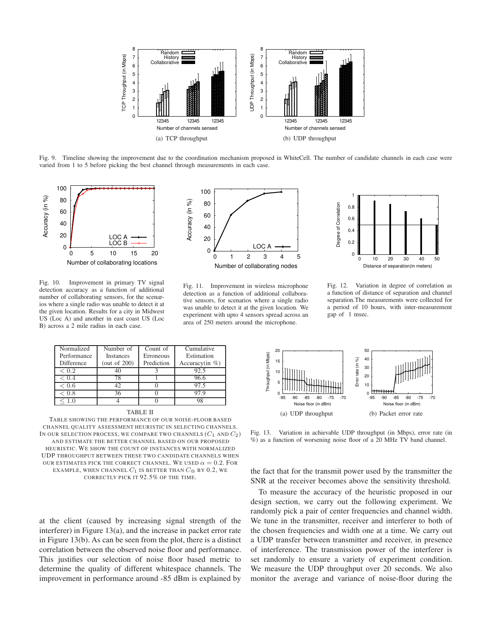

Fig. 9. Timeline showing the improvement due to the coordination mechanism proposed in WhiteCell. The number of candidate channels in each case were varied from 1 to 5 before picking the best channel through measurements in each case.



Fig. 10. Improvement in primary TV signal detection accuracy as a function of additional number of collaborating sensors, for the scenarios where a single radio was unable to detect it at the given location. Results for a city in Midwest US (Loc A) and another in east coast US (Loc B) across a 2 mile radius in each case.



Fig. 11. Improvement in wireless microphone detection as a function of additional collaborative sensors, for scenarios where a single radio was unable to detect it at the given location. We experiment with upto 4 sensors spread across an area of 250 meters around the microphone.



Fig. 12. Variation in degree of correlation as a function of distance of separation and channel separation.The measurements were collected for a period of 10 hours, with inter-measurement gap of 1 msec.

| Normalized   | Number of       | Count of   | Cumulative         |
|--------------|-----------------|------------|--------------------|
| Performance  | Instances       | Erroneous  | Estimation         |
| Difference   | (out of $200$ ) | Prediction | Accuracy $(in \%)$ |
| < 0.2        |                 |            | 92.5               |
| < 0.4        | 78              |            | 96 6               |
| ${}< 0.6$    | 12              |            | 97.5               |
| ${}_{< 0.8}$ | 36              |            |                    |
|              |                 |            | 98                 |

TABLE II

TABLE SHOWING THE PERFORMANCE OF OUR NOISE-FLOOR BASED CHANNEL QUALITY ASSESSMENT HEURISTIC IN SELECTING CHANNELS. IN OUR SELECTION PROCESS, WE COMPARE TWO CHANNELS  $(C_1$  AND  $C_2$ ) AND ESTIMATE THE BETTER CHANNEL BASED ON OUR PROPOSED HEURISTIC. WE SHOW THE COUNT OF INSTANCES WITH NORMALIZED UDP THROUGHPUT BETWEEN THESE TWO CANDIDATE CHANNELS WHEN OUR ESTIMATES PICK THE CORRECT CHANNEL. WE USED  $\alpha = 0.2$ . FOR EXAMPLE, WHEN CHANNEL  $C_1$  is better than  $C_{{@}}$  by 0.2, we CORRECTLY PICK IT 92.5% OF THE TIME.

at the client (caused by increasing signal strength of the interferer) in Figure 13(a), and the increase in packet error rate in Figure 13(b). As can be seen from the plot, there is a distinct correlation between the observed noise floor and performance. This justifies our selection of noise floor based metric to determine the quality of different whitespace channels. The improvement in performance around -85 dBm is explained by



Fig. 13. Variation in achievable UDP throughput (in Mbps), error rate (in %) as a function of worsening noise floor of a 20 MHz TV band channel.

the fact that for the transmit power used by the transmitter the SNR at the receiver becomes above the sensitivity threshold.

To measure the accuracy of the heuristic proposed in our design section, we carry out the following experiment. We randomly pick a pair of center frequencies and channel width. We tune in the transmitter, receiver and interferer to both of the chosen frequencies and width one at a time. We carry out a UDP transfer between transmitter and receiver, in presence of interference. The transmission power of the interferer is set randomly to ensure a variety of experiment condition. We measure the UDP throughput over 20 seconds. We also monitor the average and variance of noise-floor during the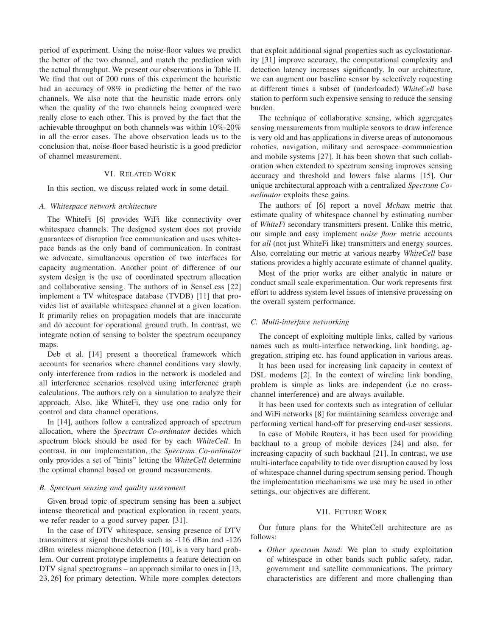period of experiment. Using the noise-floor values we predict the better of the two channel, and match the prediction with the actual throughput. We present our observations in Table II. We find that out of 200 runs of this experiment the heuristic had an accuracy of 98% in predicting the better of the two channels. We also note that the heuristic made errors only when the quality of the two channels being compared were really close to each other. This is proved by the fact that the achievable throughput on both channels was within 10%-20% in all the error cases. The above observation leads us to the conclusion that, noise-floor based heuristic is a good predictor of channel measurement.

## VI. RELATED WORK

In this section, we discuss related work in some detail.

## *A. Whitespace network architecture*

The WhiteFi [6] provides WiFi like connectivity over whitespace channels. The designed system does not provide guarantees of disruption free communication and uses whitespace bands as the only band of communication. In contrast we advocate, simultaneous operation of two interfaces for capacity augmentation. Another point of difference of our system design is the use of coordinated spectrum allocation and collaborative sensing. The authors of in SenseLess [22] implement a TV whitespace database (TVDB) [11] that provides list of available whitespace channel at a given location. It primarily relies on propagation models that are inaccurate and do account for operational ground truth. In contrast, we integrate notion of sensing to bolster the spectrum occupancy maps.

Deb et al. [14] present a theoretical framework which accounts for scenarios where channel conditions vary slowly, only interference from radios in the network is modeled and all interference scenarios resolved using interference graph calculations. The authors rely on a simulation to analyze their approach. Also, like WhiteFi, they use one radio only for control and data channel operations.

In [14], authors follow a centralized approach of spectrum allocation, where the *Spectrum Co-ordinator* decides which spectrum block should be used for by each *WhiteCell*. In contrast, in our implementation, the *Spectrum Co-ordinator* only provides a set of "hints" letting the *WhiteCell* determine the optimal channel based on ground measurements.

## *B. Spectrum sensing and quality assessment*

Given broad topic of spectrum sensing has been a subject intense theoretical and practical exploration in recent years, we refer reader to a good survey paper. [31].

In the case of DTV whitespace, sensing presence of DTV transmitters at signal thresholds such as -116 dBm and -126 dBm wireless microphone detection [10], is a very hard problem. Our current prototype implements a feature detection on DTV signal spectrograms – an approach similar to ones in [13, 23, 26] for primary detection. While more complex detectors

that exploit additional signal properties such as cyclostationarity [31] improve accuracy, the computational complexity and detection latency increases significantly. In our architecture, we can augment our baseline sensor by selectively requesting at different times a subset of (underloaded) *WhiteCell* base station to perform such expensive sensing to reduce the sensing burden.

The technique of collaborative sensing, which aggregates sensing measurements from multiple sensors to draw inference is very old and has applications in diverse areas of autonomous robotics, navigation, military and aerospace communication and mobile systems [27]. It has been shown that such collaboration when extended to spectrum sensing improves sensing accuracy and threshold and lowers false alarms [15]. Our unique architectural approach with a centralized *Spectrum Coordinator* exploits these gains.

The authors of [6] report a novel *Mcham* metric that estimate quality of whitespace channel by estimating number of *WhiteFi* secondary transmitters present. Unlike this metric, our simple and easy implement *noise floor* metric accounts for *all* (not just WhiteFi like) transmitters and energy sources. Also, correlating our metric at various nearby *WhiteCell* base stations provides a highly accurate estimate of channel quality.

Most of the prior works are either analytic in nature or conduct small scale experimentation. Our work represents first effort to address system level issues of intensive processing on the overall system performance.

## *C. Multi-interface networking*

The concept of exploiting multiple links, called by various names such as multi-interface networking, link bonding, aggregation, striping etc. has found application in various areas.

It has been used for increasing link capacity in context of DSL modems [2]. In the context of wireline link bonding, problem is simple as links are independent (i.e no crosschannel interference) and are always available.

It has been used for contexts such as integration of cellular and WiFi networks [8] for maintaining seamless coverage and performing vertical hand-off for preserving end-user sessions.

In case of Mobile Routers, it has been used for providing backhaul to a group of mobile devices [24] and also, for increasing capacity of such backhaul [21]. In contrast, we use multi-interface capability to tide over disruption caused by loss of whitespace channel during spectrum sensing period. Though the implementation mechanisms we use may be used in other settings, our objectives are different.

#### VII. FUTURE WORK

Our future plans for the WhiteCell architecture are as follows:

• *Other spectrum band:* We plan to study exploitation of whitespace in other bands such public safety, radar, government and satellite communications. The primary characteristics are different and more challenging than